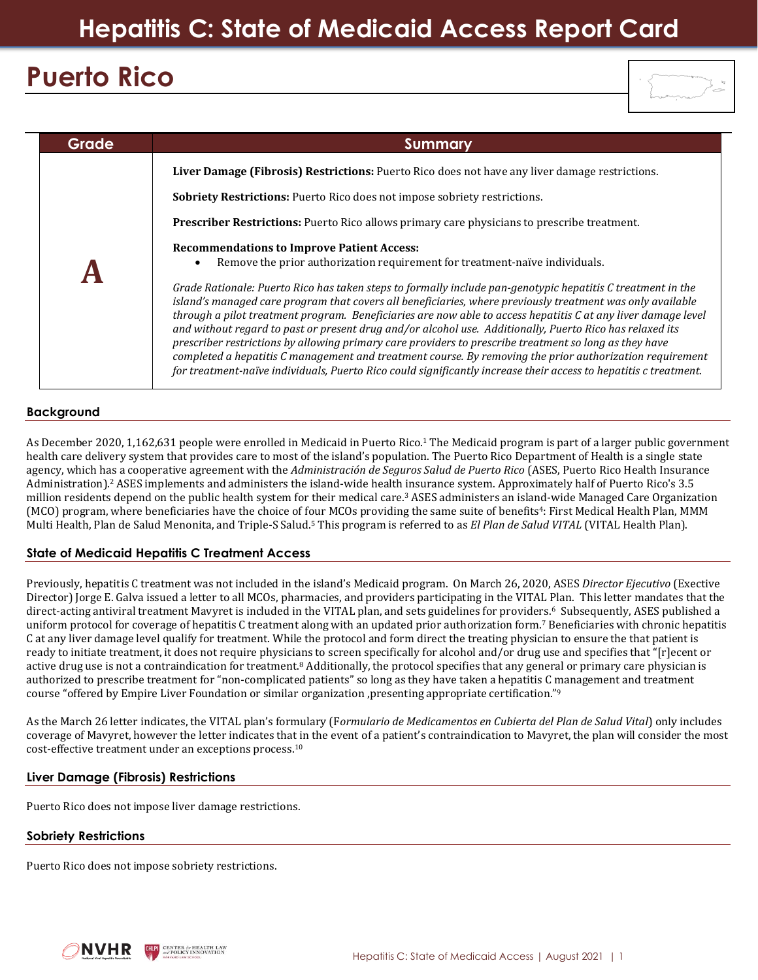# **Puerto Rico**



| Grade | Summary                                                                                                                                                                                                                                                                                                                                                                                                                                                                                                                                                                                                                                                                                                                                                                                                                                                                                                                              |
|-------|--------------------------------------------------------------------------------------------------------------------------------------------------------------------------------------------------------------------------------------------------------------------------------------------------------------------------------------------------------------------------------------------------------------------------------------------------------------------------------------------------------------------------------------------------------------------------------------------------------------------------------------------------------------------------------------------------------------------------------------------------------------------------------------------------------------------------------------------------------------------------------------------------------------------------------------|
|       | Liver Damage (Fibrosis) Restrictions: Puerto Rico does not have any liver damage restrictions.                                                                                                                                                                                                                                                                                                                                                                                                                                                                                                                                                                                                                                                                                                                                                                                                                                       |
|       | <b>Sobriety Restrictions:</b> Puerto Rico does not impose sobriety restrictions.                                                                                                                                                                                                                                                                                                                                                                                                                                                                                                                                                                                                                                                                                                                                                                                                                                                     |
|       | <b>Prescriber Restrictions:</b> Puerto Rico allows primary care physicians to prescribe treatment.                                                                                                                                                                                                                                                                                                                                                                                                                                                                                                                                                                                                                                                                                                                                                                                                                                   |
|       | <b>Recommendations to Improve Patient Access:</b><br>Remove the prior authorization requirement for treatment-naïve individuals.<br>Grade Rationale: Puerto Rico has taken steps to formally include pan-genotypic hepatitis C treatment in the<br>island's managed care program that covers all beneficiaries, where previously treatment was only available<br>through a pilot treatment program. Beneficiaries are now able to access hepatitis C at any liver damage level<br>and without regard to past or present drug and/or alcohol use. Additionally, Puerto Rico has relaxed its<br>prescriber restrictions by allowing primary care providers to prescribe treatment so long as they have<br>completed a hepatitis C management and treatment course. By removing the prior authorization requirement<br>for treatment-naïve individuals, Puerto Rico could significantly increase their access to hepatitis c treatment. |

# **Background**

As December 2020, 1,162,631 people were enrolled in Medicaid in Puerto Rico.<sup>1</sup> The Medicaid program is part of a larger public government health care delivery system that provides care to most of the island's population. The Puerto Rico Department of Health is a single state agency, which has a cooperative agreement with the *Administración de Seguros Salud de Puerto Rico* (ASES, Puerto Rico Health Insurance Administration). <sup>2</sup> ASES implements and administers the island-wide health insurance system. Approximately half of Puerto Rico's 3.5 million residents depend on the public health system for their medical care.<sup>3</sup> ASES administers an island-wide Managed Care Organization (MCO) program, where beneficiaries have the choice of four MCOs providing the same suite of benefits<sup>4</sup>: First Medical Health Plan, MMM Multi Health, Plan de Salud Menonita, and Triple-S Salud.<sup>5</sup> This program is referred to as *El Plan de Salud VITAL* (VITAL Health Plan).

## **State of Medicaid Hepatitis C Treatment Access**

Previously, hepatitis C treatment was not included in the island's Medicaid program. On March 26, 2020, ASES *Director Ejecutivo* (Exective Director) Jorge E. Galva issued a letter to all MCOs, pharmacies, and providers participating in the VITAL Plan. This letter mandates that the direct-acting antiviral treatment Mavyret is included in the VITAL plan, and sets guidelines for providers.<sup>6</sup> Subsequently, ASES published a uniform protocol for coverage of hepatitis C treatment along with an updated prior authorization form.<sup>7</sup> Beneficiaries with chronic hepatitis C at any liver damage level qualify for treatment. While the protocol and form direct the treating physician to ensure the that patient is ready to initiate treatment, it does not require physicians to screen specifically for alcohol and/or drug use and specifies that "[r]ecent or active drug use is not a contraindication for treatment.<sup>8</sup> Additionally, the protocol specifies that any general or primary care physician is authorized to prescribe treatment for "non-complicated patients" so long as they have taken a hepatitis C management and treatment course "offered by Empire Liver Foundation or similar organization ,presenting appropriate certification." 9

As the March 26 letter indicates, the VITAL plan's formulary (F*ormulario de Medicamentos en Cubierta del Plan de Salud Vital*) only includes coverage of Mavyret, however the letter indicates that in the event of a patient's contraindication to Mavyret, the plan will consider the most cost-effective treatment under an exceptions process.<sup>10</sup>

## **Liver Damage (Fibrosis) Restrictions**

Puerto Rico does not impose liver damage restrictions.

## **Sobriety Restrictions**

Puerto Rico does not impose sobriety restrictions.